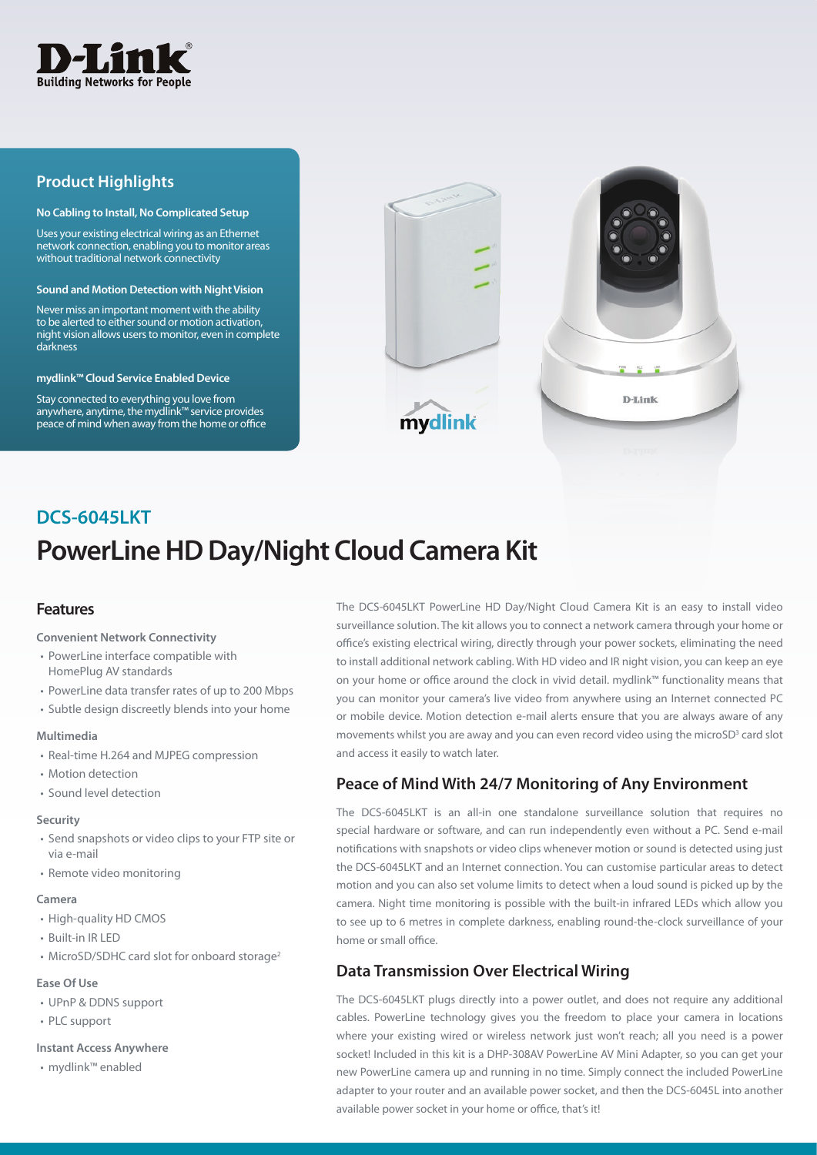

# **Product Highlights**

#### **No Cabling to Install, No Complicated Setup**

Uses your existing electrical wiring as an Ethernet network connection, enabling you to monitor areas without traditional network connectivity

#### **Sound and Motion Detection with Night Vision**

Never miss an important moment with the ability to be alerted to either sound or motion activation, night vision allows users to monitor, even in complete darkness

#### **mydlink™ Cloud Service Enabled Device**

Stay connected to everything you love from anywhere, anytime, the mydlink™ service provides peace of mind when away from the home or office





# **PowerLine HD Day/Night Cloud Camera Kit DCS-6045LKT**

## **Features**

### **Convenient Network Connectivity**

- PowerLine interface compatible with HomePlug AV standards
- PowerLine data transfer rates of up to 200 Mbps
- Subtle design discreetly blends into your home

#### **Multimedia**

- Real-time H.264 and MJPEG compression
- Motion detection
- Sound level detection

#### **Security**

- Send snapshots or video clips to your FTP site or via e-mail
- Remote video monitoring

#### **Camera**

- High-quality HD CMOS
- Built-in IR LED
- MicroSD/SDHC card slot for onboard storage<sup>2</sup>

## **Ease Of Use**

- UPnP & DDNS support
- PLC support

## **Instant Access Anywhere**

• mydlink™ enabled

The DCS-6045LKT PowerLine HD Day/Night Cloud Camera Kit is an easy to install video surveillance solution. The kit allows you to connect a network camera through your home or office's existing electrical wiring, directly through your power sockets, eliminating the need to install additional network cabling. With HD video and IR night vision, you can keep an eye on your home or office around the clock in vivid detail. mydlink™ functionality means that you can monitor your camera's live video from anywhere using an Internet connected PC or mobile device. Motion detection e-mail alerts ensure that you are always aware of any movements whilst you are away and you can even record video using the microSD<sup>3</sup> card slot and access it easily to watch later.

# **Peace of Mind With 24/7 Monitoring of Any Environment**

The DCS-6045LKT is an all-in one standalone surveillance solution that requires no special hardware or software, and can run independently even without a PC. Send e-mail notifications with snapshots or video clips whenever motion or sound is detected using just the DCS-6045LKT and an Internet connection. You can customise particular areas to detect motion and you can also set volume limits to detect when a loud sound is picked up by the camera. Night time monitoring is possible with the built-in infrared LEDs which allow you to see up to 6 metres in complete darkness, enabling round-the-clock surveillance of your home or small office.

# **Data Transmission Over Electrical Wiring**

The DCS-6045LKT plugs directly into a power outlet, and does not require any additional cables. PowerLine technology gives you the freedom to place your camera in locations where your existing wired or wireless network just won't reach; all you need is a power socket! Included in this kit is a DHP-308AV PowerLine AV Mini Adapter, so you can get your new PowerLine camera up and running in no time. Simply connect the included PowerLine adapter to your router and an available power socket, and then the DCS-6045L into another available power socket in your home or office, that's it!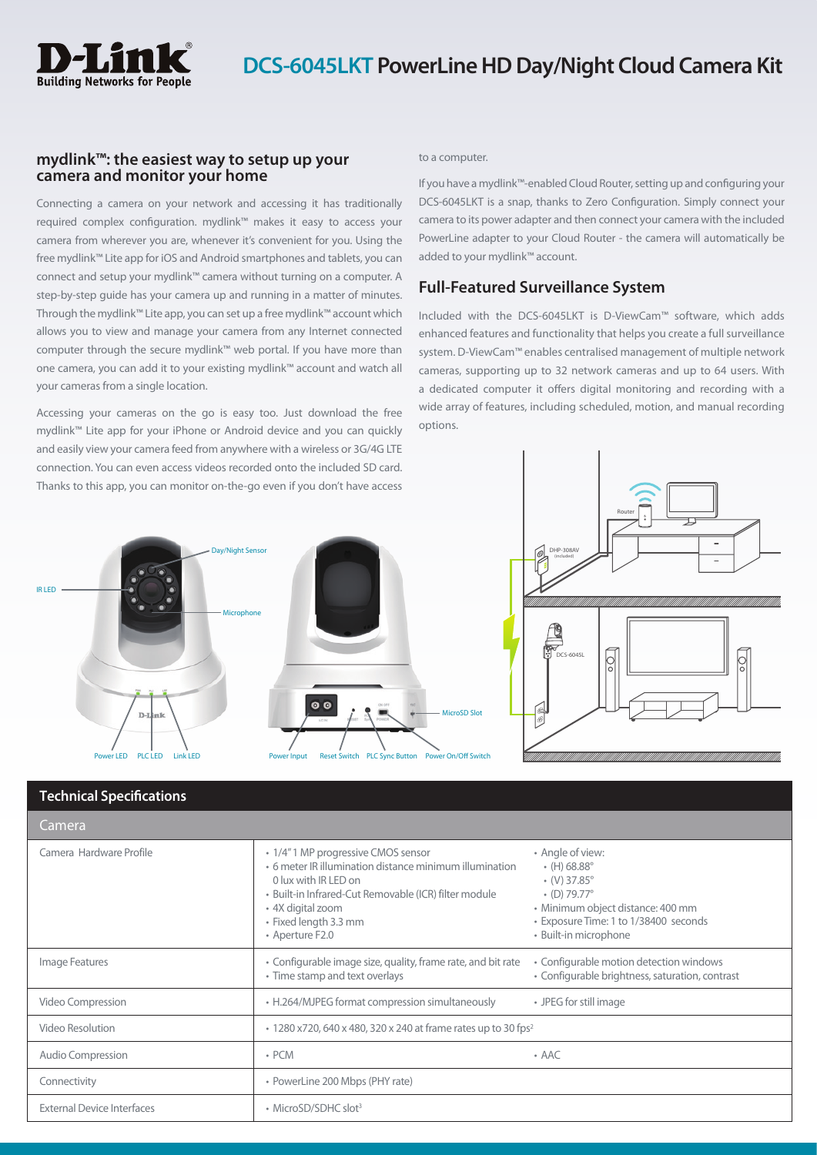

## **mydlink™: the easiest way to setup up your camera and monitor your home**

Connecting a camera on your network and accessing it has traditionally required complex configuration. mydlink™ makes it easy to access your camera from wherever you are, whenever it's convenient for you. Using the free mydlink™ Lite app for iOS and Android smartphones and tablets, you can connect and setup your mydlink™ camera without turning on a computer. A step-by-step guide has your camera up and running in a matter of minutes. Through the mydlink™ Lite app, you can set up a free mydlink™ account which allows you to view and manage your camera from any Internet connected computer through the secure mydlink™ web portal. If you have more than one camera, you can add it to your existing mydlink™ account and watch all your cameras from a single location.

Accessing your cameras on the go is easy too. Just download the free mydlink™ Lite app for your iPhone or Android device and you can quickly and easily view your camera feed from anywhere with a wireless or 3G/4G LTE connection. You can even access videos recorded onto the included SD card. Thanks to this app, you can monitor on-the-go even if you don't have access

### to a computer.

If you have a mydlink™-enabled Cloud Router, setting up and configuring your DCS-6045LKT is a snap, thanks to Zero Configuration. Simply connect your camera to its power adapter and then connect your camera with the included PowerLine adapter to your Cloud Router - the camera will automatically be added to your mydlink™ account.

# **Full-Featured Surveillance System**

Included with the DCS-6045LKT is D-ViewCam™ software, which adds enhanced features and functionality that helps you create a full surveillance system. D-ViewCam™ enables centralised management of multiple network cameras, supporting up to 32 network cameras and up to 64 users. With a dedicated computer it offers digital monitoring and recording with a wide array of features, including scheduled, motion, and manual recording options.





# **Technical Specifications**

| Camera                            |                                                                                                                                                                                                                                                  |                                                                                                                                                                                                              |  |
|-----------------------------------|--------------------------------------------------------------------------------------------------------------------------------------------------------------------------------------------------------------------------------------------------|--------------------------------------------------------------------------------------------------------------------------------------------------------------------------------------------------------------|--|
| Camera Hardware Profile           | • 1/4" 1 MP progressive CMOS sensor<br>• 6 meter IR illumination distance minimum illumination<br>0 lux with IR LED on<br>· Built-in Infrared-Cut Removable (ICR) filter module<br>• 4X digital zoom<br>• Fixed length 3.3 mm<br>• Aperture F2.0 | • Angle of view:<br>$\cdot$ (H) 68.88 $^{\circ}$<br>$($ V $)$ 37.85 $^{\circ}$<br>$(D) 79.77^{\circ}$<br>· Minimum object distance: 400 mm<br>• Exposure Time: 1 to 1/38400 seconds<br>• Built-in microphone |  |
| Image Features                    | • Configurable image size, quality, frame rate, and bit rate<br>• Time stamp and text overlays                                                                                                                                                   | • Configurable motion detection windows<br>• Configurable brightness, saturation, contrast                                                                                                                   |  |
| Video Compression                 | • H.264/MJPEG format compression simultaneously                                                                                                                                                                                                  | • JPEG for still image                                                                                                                                                                                       |  |
| Video Resolution                  | • 1280 x720, 640 x 480, 320 x 240 at frame rates up to 30 fps <sup>2</sup>                                                                                                                                                                       |                                                                                                                                                                                                              |  |
| <b>Audio Compression</b>          | $\cdot$ PCM                                                                                                                                                                                                                                      | $\cdot$ AAC                                                                                                                                                                                                  |  |
| Connectivity                      | • PowerLine 200 Mbps (PHY rate)                                                                                                                                                                                                                  |                                                                                                                                                                                                              |  |
| <b>External Device Interfaces</b> | • MicroSD/SDHC slot <sup>3</sup>                                                                                                                                                                                                                 |                                                                                                                                                                                                              |  |